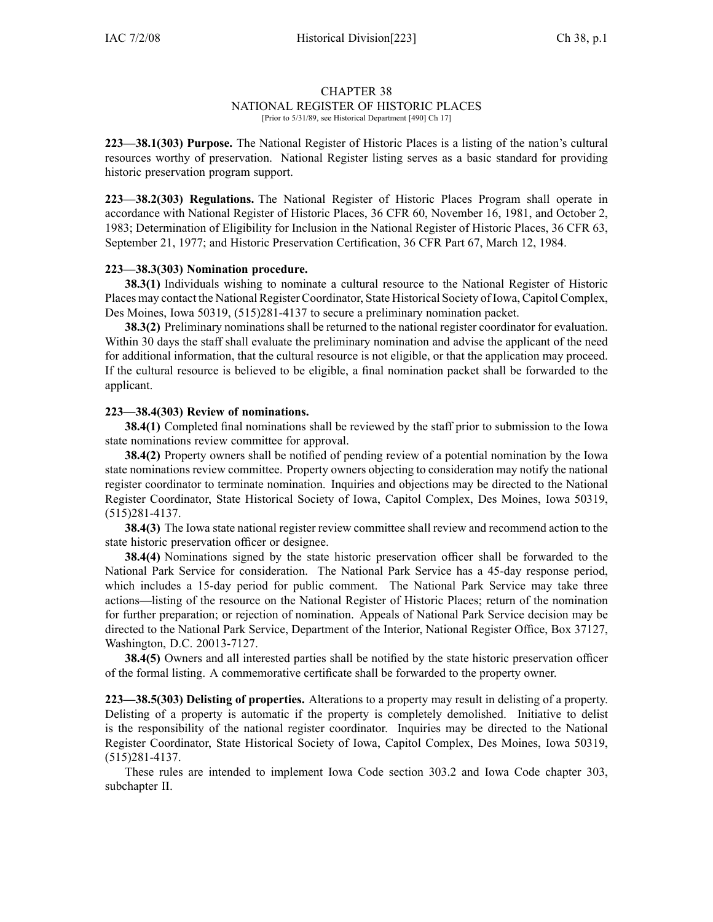## CHAPTER 38 NATIONAL REGISTER OF HISTORIC PLACES [Prior to 5/31/89, see Historical Department [490] Ch 17]

**223—38.1(303) Purpose.** The National Register of Historic Places is <sup>a</sup> listing of the nation's cultural resources worthy of preservation. National Register listing serves as <sup>a</sup> basic standard for providing historic preservation program support.

**223—38.2(303) Regulations.** The National Register of Historic Places Program shall operate in accordance with National Register of Historic Places, 36 CFR 60, November 16, 1981, and October 2, 1983; Determination of Eligibility for Inclusion in the National Register of Historic Places, 36 CFR 63, September 21, 1977; and Historic Preservation Certification, 36 CFR Part 67, March 12, 1984.

## **223—38.3(303) Nomination procedure.**

**38.3(1)** Individuals wishing to nominate <sup>a</sup> cultural resource to the National Register of Historic Places may contact the National Register Coordinator, State Historical Society of Iowa, Capitol Complex, Des Moines, Iowa 50319, (515)281-4137 to secure <sup>a</sup> preliminary nomination packet.

**38.3(2)** Preliminary nominations shall be returned to the national register coordinator for evaluation. Within 30 days the staff shall evaluate the preliminary nomination and advise the applicant of the need for additional information, that the cultural resource is not eligible, or that the application may proceed. If the cultural resource is believed to be eligible, <sup>a</sup> final nomination packet shall be forwarded to the applicant.

## **223—38.4(303) Review of nominations.**

**38.4(1)** Completed final nominations shall be reviewed by the staff prior to submission to the Iowa state nominations review committee for approval.

**38.4(2)** Property owners shall be notified of pending review of <sup>a</sup> potential nomination by the Iowa state nominations review committee. Property owners objecting to consideration may notify the national register coordinator to terminate nomination. Inquiries and objections may be directed to the National Register Coordinator, State Historical Society of Iowa, Capitol Complex, Des Moines, Iowa 50319, (515)281-4137.

**38.4(3)** The Iowa state national register review committee shall review and recommend action to the state historic preservation officer or designee.

**38.4(4)** Nominations signed by the state historic preservation officer shall be forwarded to the National Park Service for consideration. The National Park Service has <sup>a</sup> 45-day response period, which includes <sup>a</sup> 15-day period for public comment. The National Park Service may take three actions—listing of the resource on the National Register of Historic Places; return of the nomination for further preparation; or rejection of nomination. Appeals of National Park Service decision may be directed to the National Park Service, Department of the Interior, National Register Office, Box 37127, Washington, D.C. 20013-7127.

**38.4(5)** Owners and all interested parties shall be notified by the state historic preservation officer of the formal listing. A commemorative certificate shall be forwarded to the property owner.

**223—38.5(303) Delisting of properties.** Alterations to <sup>a</sup> property may result in delisting of <sup>a</sup> property. Delisting of <sup>a</sup> property is automatic if the property is completely demolished. Initiative to delist is the responsibility of the national register coordinator. Inquiries may be directed to the National Register Coordinator, State Historical Society of Iowa, Capitol Complex, Des Moines, Iowa 50319, (515)281-4137.

These rules are intended to implement Iowa Code section 303.2 and Iowa Code chapter 303, subchapter II.